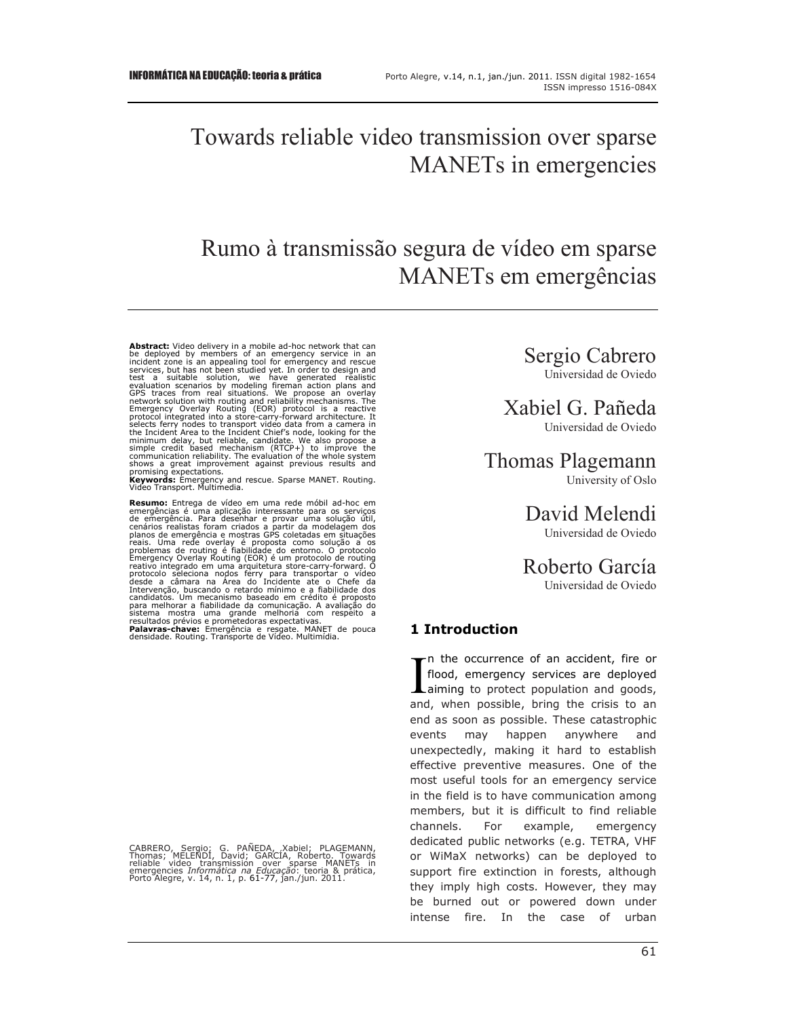# Towards reliable video transmission over sparse MANETs in emergencies

# Rumo à transmissão segura de vídeo em sparse MANETs em emergências

**Abstract:** Video delivery in a mobile ad-hoc network that can<br>be deployed by members of an emergency service in an<br>incident zone is an appealing tool for emergency and rescue<br>textes, but has not been studied yet. In order the Incident Area to the Incident Chief's node, looking for the minimum delay, but reliable, candidate. We also propose a simple credit based mechanism (RTCP+) to improve the communication reliability. The evaluation of th

**Keywords:** Emergency and rescue. Sparse MANET. Routing. Video Transport. Multimedia.

**Resumo:** Entrega de vídeo em uma rede móbil ad-hoc em emergências é uma aplicação interessante para os serviços de emergências é uma aplicação interessante para os serviços de emergência. Para desenhar e provar uma solução útil,<br>cenários realistas foram criados a partir da modelagem dos<br>planos de emergência e mostras GPS coletadas em situações<br>problemas de routing é fapilidade do entorno. O p

CABRERO, Sergio; G. PANEDA, Xabiel; PLAGEMANN,<br>Thomas; MELENDI, David; GARCIA, Roberto. Towards<br>reliable video transmission over sparse MANETs in<br>emergencies *Informatica na Educação*: teoria & prática,<br>Porto Alegre, v. 14

Sergio Cabrero Universidad de Oviedo

Xabiel G. Pañeda Universidad de Oviedo

Thomas Plagemann University of Oslo

> David Melendi Universidad de Oviedo

Roberto García Universidad de Oviedo

# **1 Introduction**

n the occurrence of an accident, fire or flood, emergency services are deployed  $\prod_{\text{a}}^{\text{n}}$  the occurrence of an accident, fire or<br>flood, emergency services are deployed<br>aiming to protect population and goods,<br>and when possible bring the crisis to an and, when possible, bring the crisis to an end as soon as possible. These catastrophic events may happen anywhere and unexpectedly, making it hard to establish effective preventive measures. One of the most useful tools for an emergency service in the field is to have communication among members, but it is difficult to find reliable channels. For example, emergency dedicated public networks (e.g. TETRA, VHF or WiMaX networks) can be deployed to support fire extinction in forests, although they imply high costs. However, they may be burned out or powered down under intense fire. In the case of urban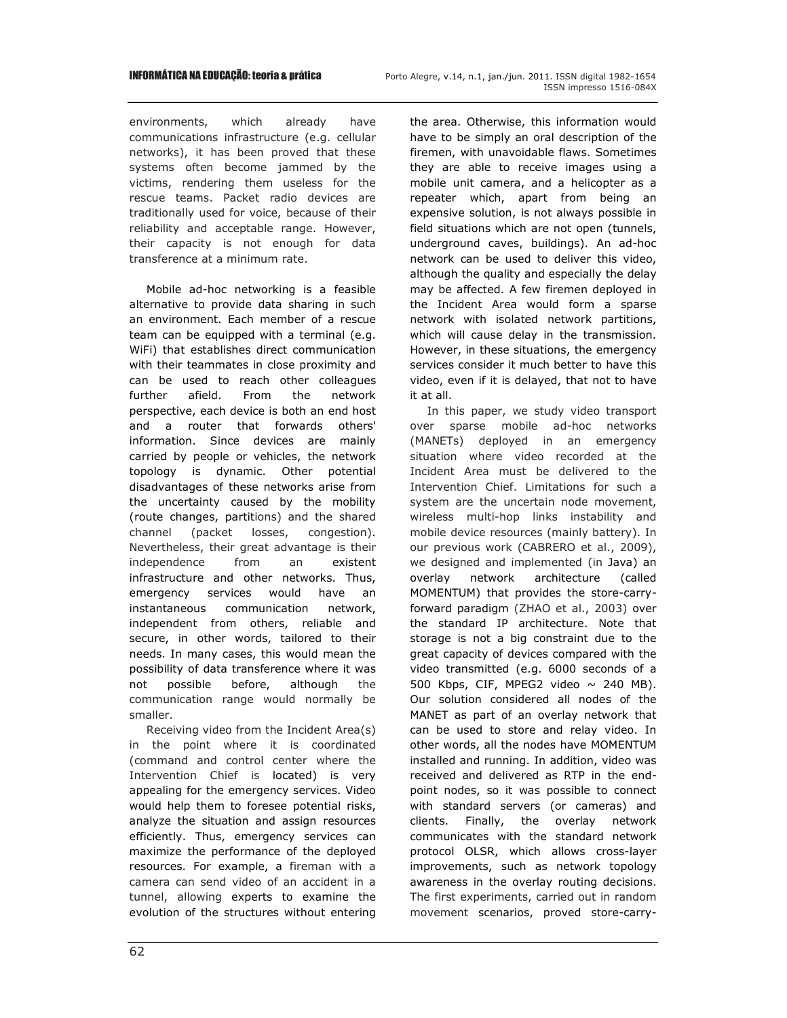environments, which already have communications infrastructure (e.g. cellular networks), it has been proved that these systems often become jammed by the victims, rendering them useless for the rescue teams. Packet radio devices are traditionally used for voice, because of their reliability and acceptable range. However, their capacity is not enough for data transference at a minimum rate.

Mobile ad-hoc networking is a feasible alternative to provide data sharing in such an environment. Each member of a rescue team can be equipped with a terminal (e.g. WiFi) that establishes direct communication with their teammates in close proximity and can be used to reach other colleagues further afield. From the network perspective, each device is both an end host and a router that forwards others' information. Since devices are mainly carried by people or vehicles, the network topology is dynamic. Other potential disadvantages of these networks arise from the uncertainty caused by the mobility (route changes, partitions) and the shared channel (packet losses, congestion). Nevertheless, their great advantage is their independence from an existent infrastructure and other networks. Thus, emergency services would have an instantaneous communication network, independent from others, reliable and secure, in other words, tailored to their needs. In many cases, this would mean the possibility of data transference where it was not possible before, although the communication range would normally be smaller.

Receiving video from the Incident Area(s) in the point where it is coordinated (command and control center where the Intervention Chief is located) is very appealing for the emergency services. Video would help them to foresee potential risks, analyze the situation and assign resources efficiently. Thus, emergency services can maximize the performance of the deployed resources. For example, a fireman with a camera can send video of an accident in a tunnel, allowing experts to examine the evolution of the structures without entering the area. Otherwise, this information would have to be simply an oral description of the firemen, with unavoidable flaws. Sometimes they are able to receive images using a mobile unit camera, and a helicopter as a repeater which, apart from being an expensive solution, is not always possible in field situations which are not open (tunnels, underground caves, buildings). An ad-hoc network can be used to deliver this video, although the quality and especially the delay may be affected. A few firemen deployed in the Incident Area would form a sparse network with isolated network partitions, which will cause delay in the transmission. However, in these situations, the emergency services consider it much better to have this video, even if it is delayed, that not to have it at all.

In this paper, we study video transport over sparse mobile ad-hoc networks (MANETs) deployed in an emergency situation where video recorded at the Incident Area must be delivered to the Intervention Chief. Limitations for such a system are the uncertain node movement, wireless multi-hop links instability and mobile device resources (mainly battery). In our previous work (CABRERO et al., 2009), we designed and implemented (in Java) an overlay network architecture (called MOMENTUM) that provides the store-carryforward paradigm (ZHAO et al., 2003) over the standard IP architecture. Note that storage is not a big constraint due to the great capacity of devices compared with the video transmitted (e.g. 6000 seconds of a 500 Kbps, CIF, MPEG2 video  $\sim$  240 MB). Our solution considered all nodes of the MANET as part of an overlay network that can be used to store and relay video. In other words, all the nodes have MOMENTUM installed and running. In addition, video was received and delivered as RTP in the endpoint nodes, so it was possible to connect with standard servers (or cameras) and clients. Finally, the overlay network communicates with the standard network protocol OLSR, which allows cross-layer improvements, such as network topology awareness in the overlay routing decisions. The first experiments, carried out in random movement scenarios, proved store-carry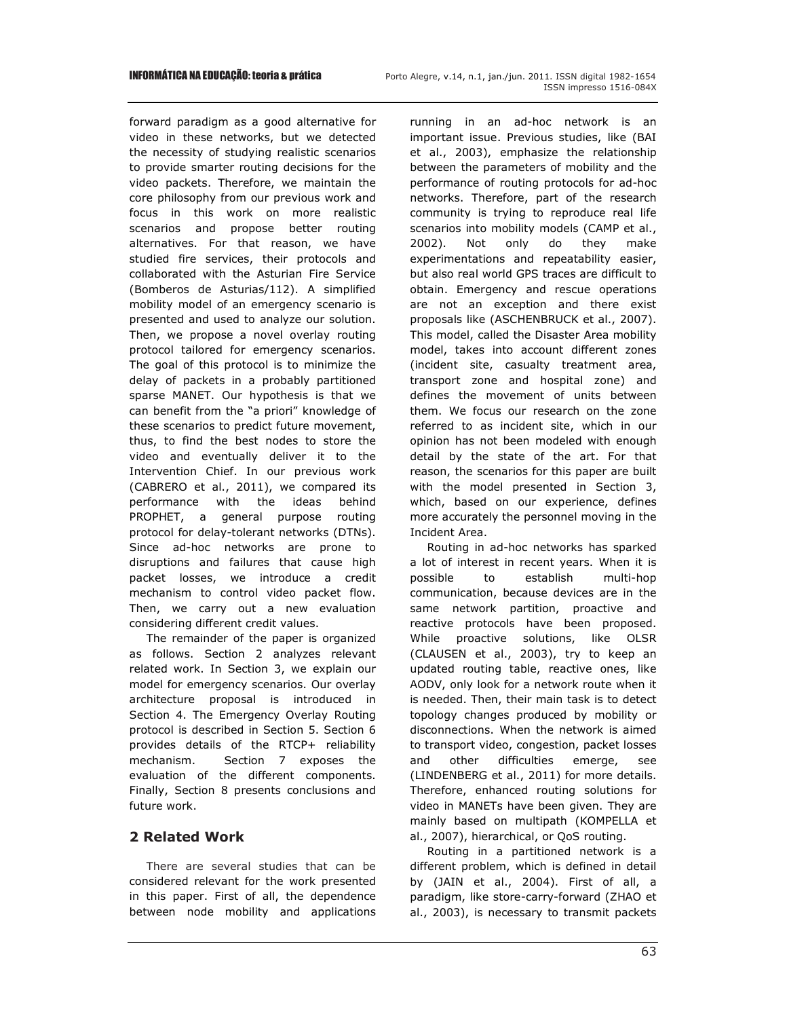forward paradigm as a good alternative for video in these networks, but we detected the necessity of studying realistic scenarios to provide smarter routing decisions for the video packets. Therefore, we maintain the core philosophy from our previous work and focus in this work on more realistic scenarios and propose better routing alternatives. For that reason, we have studied fire services, their protocols and collaborated with the Asturian Fire Service (Bomberos de Asturias/112). A simplified mobility model of an emergency scenario is presented and used to analyze our solution. Then, we propose a novel overlay routing protocol tailored for emergency scenarios. The goal of this protocol is to minimize the delay of packets in a probably partitioned sparse MANET. Our hypothesis is that we can benefit from the "a priori" knowledge of these scenarios to predict future movement, thus, to find the best nodes to store the video and eventually deliver it to the Intervention Chief. In our previous work (CABRERO et al., 2011), we compared its performance with the ideas behind PROPHET, a general purpose routing protocol for delay-tolerant networks (DTNs). Since ad-hoc networks are prone to disruptions and failures that cause high packet losses, we introduce a credit mechanism to control video packet flow. Then, we carry out a new evaluation considering different credit values.

The remainder of the paper is organized as follows. Section 2 analyzes relevant related work. In Section 3, we explain our model for emergency scenarios. Our overlay architecture proposal is introduced in Section 4. The Emergency Overlay Routing protocol is described in Section 5. Section 6 provides details of the RTCP+ reliability mechanism. Section 7 exposes the evaluation of the different components. Finally, Section 8 presents conclusions and future work.

# **2 Related Work**

There are several studies that can be considered relevant for the work presented in this paper. First of all, the dependence between node mobility and applications running in an ad-hoc network is an important issue. Previous studies, like (BAI et al., 2003), emphasize the relationship between the parameters of mobility and the performance of routing protocols for ad-hoc networks. Therefore, part of the research community is trying to reproduce real life scenarios into mobility models (CAMP et al., 2002). Not only do they make experimentations and repeatability easier, but also real world GPS traces are difficult to obtain. Emergency and rescue operations are not an exception and there exist proposals like (ASCHENBRUCK et al., 2007). This model, called the Disaster Area mobility model, takes into account different zones (incident site, casualty treatment area, transport zone and hospital zone) and defines the movement of units between them. We focus our research on the zone referred to as incident site, which in our opinion has not been modeled with enough detail by the state of the art. For that reason, the scenarios for this paper are built with the model presented in Section 3, which, based on our experience, defines more accurately the personnel moving in the Incident Area.

Routing in ad-hoc networks has sparked a lot of interest in recent years. When it is possible to establish multi-hop communication, because devices are in the same network partition, proactive and reactive protocols have been proposed. While proactive solutions, like OLSR (CLAUSEN et al., 2003), try to keep an updated routing table, reactive ones, like AODV, only look for a network route when it is needed. Then, their main task is to detect topology changes produced by mobility or disconnections. When the network is aimed to transport video, congestion, packet losses and other difficulties emerge, see (LINDENBERG et al., 2011) for more details. Therefore, enhanced routing solutions for video in MANETs have been given. They are mainly based on multipath (KOMPELLA et al., 2007), hierarchical, or QoS routing.

Routing in a partitioned network is a different problem, which is defined in detail by (JAIN et al., 2004). First of all, a paradigm, like store-carry-forward (ZHAO et al., 2003), is necessary to transmit packets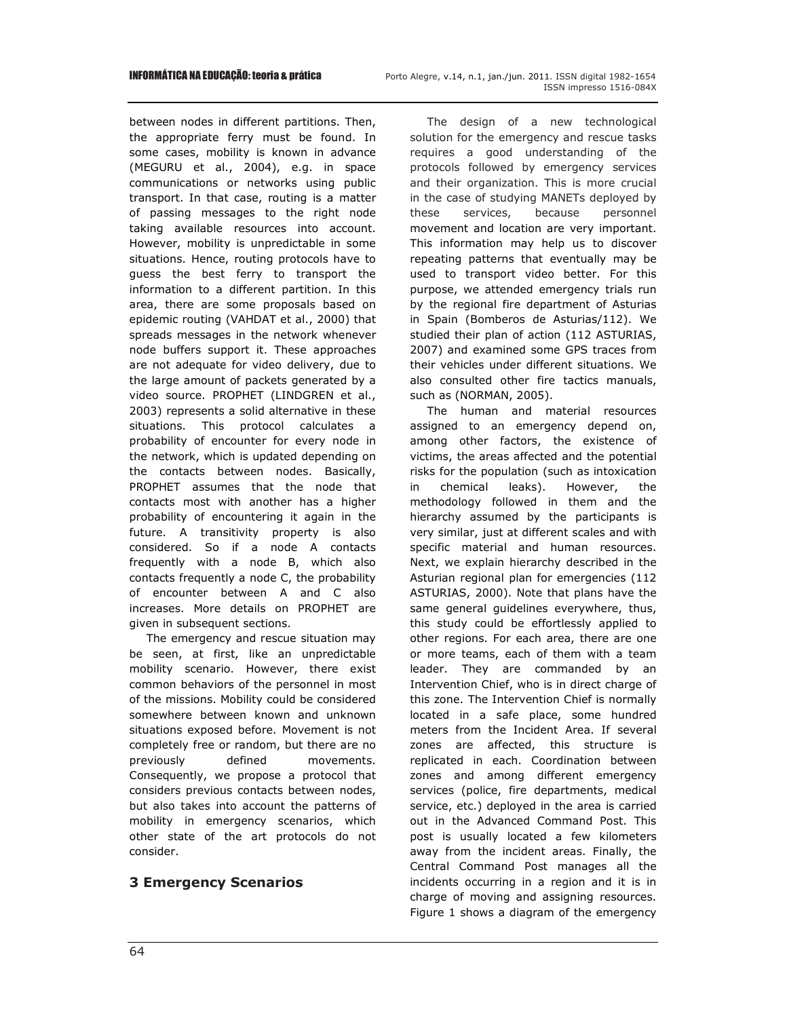INFORMÁTICA NA EDUCAÇÃO: teoria & prática Porto Alegre, v.14, n.1, jan./jun. 2011. ISSN digital 1982-1654 ISSN impresso 1516-084X

between nodes in different partitions. Then, the appropriate ferry must be found. In some cases, mobility is known in advance (MEGURU et al., 2004), e.g. in space communications or networks using public transport. In that case, routing is a matter of passing messages to the right node taking available resources into account. However, mobility is unpredictable in some situations. Hence, routing protocols have to guess the best ferry to transport the information to a different partition. In this area, there are some proposals based on epidemic routing (VAHDAT et al., 2000) that spreads messages in the network whenever node buffers support it. These approaches are not adequate for video delivery, due to the large amount of packets generated by a video source. PROPHET (LINDGREN et al., 2003) represents a solid alternative in these situations. This protocol calculates a probability of encounter for every node in the network, which is updated depending on the contacts between nodes. Basically, PROPHET assumes that the node that contacts most with another has a higher probability of encountering it again in the future. A transitivity property is also considered. So if a node A contacts frequently with a node B, which also contacts frequently a node C, the probability of encounter between A and C also increases. More details on PROPHET are given in subsequent sections.

The emergency and rescue situation may be seen, at first, like an unpredictable mobility scenario. However, there exist common behaviors of the personnel in most of the missions. Mobility could be considered somewhere between known and unknown situations exposed before. Movement is not completely free or random, but there are no previously defined movements. Consequently, we propose a protocol that considers previous contacts between nodes, but also takes into account the patterns of mobility in emergency scenarios, which other state of the art protocols do not consider.

# **3 Emergency Scenarios**

The design of a new technological solution for the emergency and rescue tasks requires a good understanding of the protocols followed by emergency services and their organization. This is more crucial in the case of studying MANETs deployed by these services, because personnel movement and location are very important. This information may help us to discover repeating patterns that eventually may be used to transport video better. For this purpose, we attended emergency trials run by the regional fire department of Asturias in Spain (Bomberos de Asturias/112). We studied their plan of action (112 ASTURIAS, 2007) and examined some GPS traces from their vehicles under different situations. We also consulted other fire tactics manuals, such as (NORMAN, 2005).

The human and material resources assigned to an emergency depend on, among other factors, the existence of victims, the areas affected and the potential risks for the population (such as intoxication in chemical leaks). However, the methodology followed in them and the hierarchy assumed by the participants is very similar, just at different scales and with specific material and human resources. Next, we explain hierarchy described in the Asturian regional plan for emergencies (112 ASTURIAS, 2000). Note that plans have the same general guidelines everywhere, thus, this study could be effortlessly applied to other regions. For each area, there are one or more teams, each of them with a team leader. They are commanded by an Intervention Chief, who is in direct charge of this zone. The Intervention Chief is normally located in a safe place, some hundred meters from the Incident Area. If several zones are affected, this structure is replicated in each. Coordination between zones and among different emergency services (police, fire departments, medical service, etc.) deployed in the area is carried out in the Advanced Command Post. This post is usually located a few kilometers away from the incident areas. Finally, the Central Command Post manages all the incidents occurring in a region and it is in charge of moving and assigning resources. Figure 1 shows a diagram of the emergency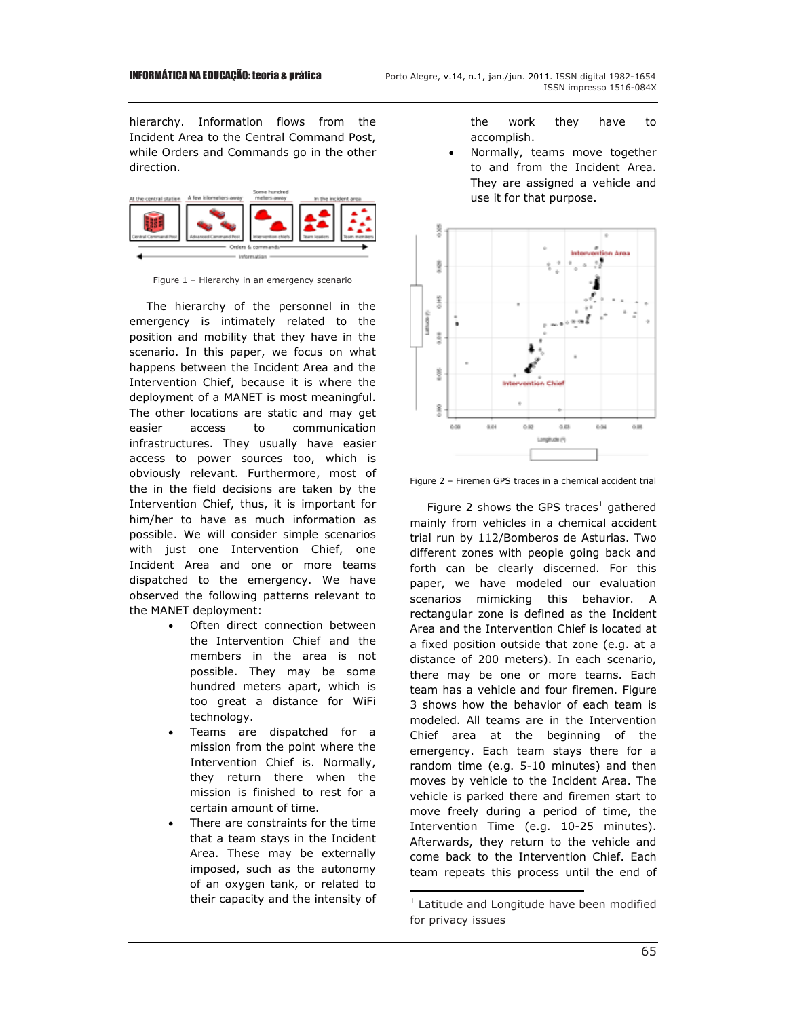hierarchy. Information flows from the Incident Area to the Central Command Post, while Orders and Commands go in the other direction.



Figure 1 – Hierarchy in an emergency scenario

The hierarchy of the personnel in the emergency is intimately related to the position and mobility that they have in the scenario. In this paper, we focus on what happens between the Incident Area and the Intervention Chief, because it is where the deployment of a MANET is most meaningful. The other locations are static and may get easier access to communication infrastructures. They usually have easier access to power sources too, which is obviously relevant. Furthermore, most of the in the field decisions are taken by the Intervention Chief, thus, it is important for him/her to have as much information as possible. We will consider simple scenarios with just one Intervention Chief, one Incident Area and one or more teams dispatched to the emergency. We have observed the following patterns relevant to the MANET deployment:

- Often direct connection between the Intervention Chief and the members in the area is not possible. They may be some hundred meters apart, which is too great a distance for WiFi technology.
- Teams are dispatched for a mission from the point where the Intervention Chief is. Normally, they return there when the mission is finished to rest for a certain amount of time.
- There are constraints for the time that a team stays in the Incident Area. These may be externally imposed, such as the autonomy of an oxygen tank, or related to their capacity and the intensity of

the work they have to accomplish.

• Normally, teams move together to and from the Incident Area. They are assigned a vehicle and use it for that purpose.



Figure 2 – Firemen GPS traces in a chemical accident trial

Figure 2 shows the GPS traces<sup>1</sup> gathered mainly from vehicles in a chemical accident trial run by 112/Bomberos de Asturias. Two different zones with people going back and forth can be clearly discerned. For this paper, we have modeled our evaluation scenarios mimicking this behavior. A rectangular zone is defined as the Incident Area and the Intervention Chief is located at a fixed position outside that zone (e.g. at a distance of 200 meters). In each scenario, there may be one or more teams. Each team has a vehicle and four firemen. Figure 3 shows how the behavior of each team is modeled. All teams are in the Intervention Chief area at the beginning of the emergency. Each team stays there for a random time (e.g. 5-10 minutes) and then moves by vehicle to the Incident Area. The vehicle is parked there and firemen start to move freely during a period of time, the Intervention Time (e.g. 10-25 minutes). Afterwards, they return to the vehicle and come back to the Intervention Chief. Each team repeats this process until the end of

L

<sup>&</sup>lt;sup>1</sup> Latitude and Longitude have been modified for privacy issues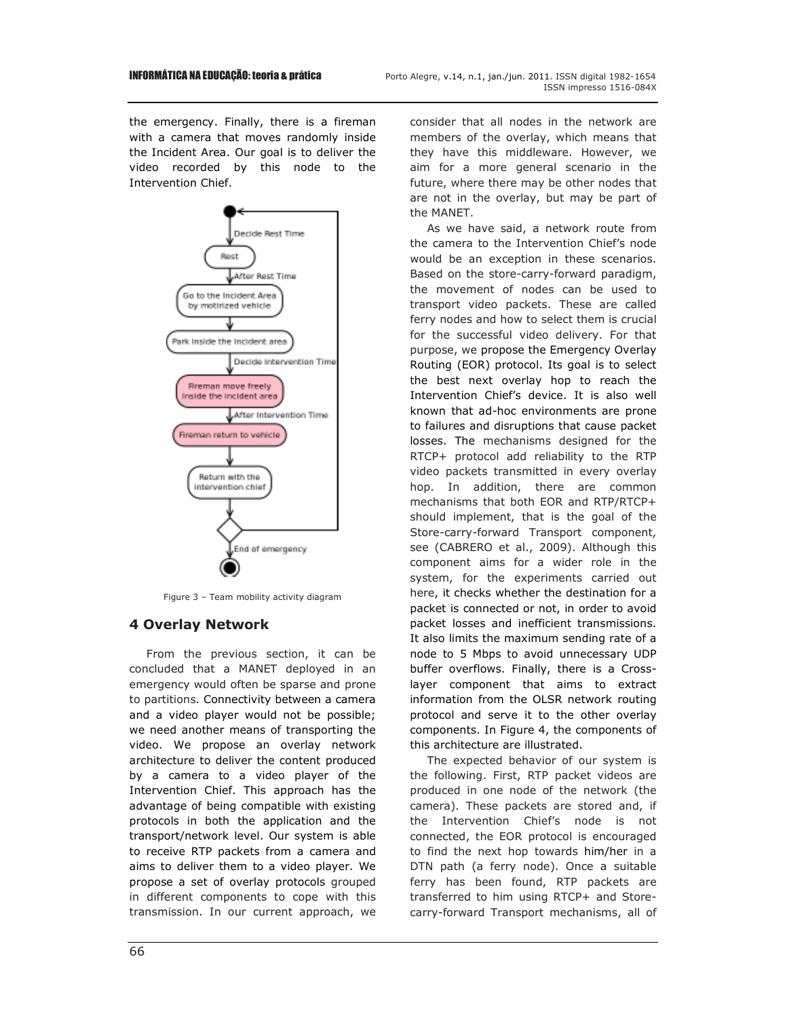the emergency. Finally, there is a fireman with a camera that moves randomly inside the Incident Area. Our goal is to deliver the video recorded by this node to the Intervention Chief.



Figure 3 – Team mobility activity diagram

## **4 Overlay Network**

From the previous section, it can be concluded that a MANET deployed in an emergency would often be sparse and prone to partitions. Connectivity between a camera and a video player would not be possible; we need another means of transporting the video. We propose an overlay network architecture to deliver the content produced by a camera to a video player of the Intervention Chief. This approach has the advantage of being compatible with existing protocols in both the application and the transport/network level. Our system is able to receive RTP packets from a camera and aims to deliver them to a video player. We propose a set of overlay protocols grouped in different components to cope with this transmission. In our current approach, we consider that all nodes in the network are members of the overlay, which means that they have this middleware. However, we aim for a more general scenario in the future, where there may be other nodes that are not in the overlay, but may be part of the MANET.

As we have said, a network route from the camera to the Intervention Chief's node would be an exception in these scenarios. Based on the store-carry-forward paradigm, the movement of nodes can be used to transport video packets. These are called ferry nodes and how to select them is crucial for the successful video delivery. For that purpose, we propose the Emergency Overlay Routing (EOR) protocol. Its goal is to select the best next overlay hop to reach the Intervention Chief's device. It is also well known that ad-hoc environments are prone to failures and disruptions that cause packet losses. The mechanisms designed for the RTCP+ protocol add reliability to the RTP video packets transmitted in every overlay hop. In addition, there are common mechanisms that both EOR and RTP/RTCP+ should implement, that is the goal of the Store-carry-forward Transport component, see (CABRERO et al., 2009). Although this component aims for a wider role in the system, for the experiments carried out here, it checks whether the destination for a packet is connected or not, in order to avoid packet losses and inefficient transmissions. It also limits the maximum sending rate of a node to 5 Mbps to avoid unnecessary UDP buffer overflows. Finally, there is a Crosslayer component that aims to extract information from the OLSR network routing protocol and serve it to the other overlay components. In Figure 4, the components of this architecture are illustrated.

The expected behavior of our system is the following. First, RTP packet videos are produced in one node of the network (the camera). These packets are stored and, if the Intervention Chief's node is not connected, the EOR protocol is encouraged to find the next hop towards him/her in a DTN path (a ferry node). Once a suitable ferry has been found, RTP packets are transferred to him using RTCP+ and Storecarry-forward Transport mechanisms, all of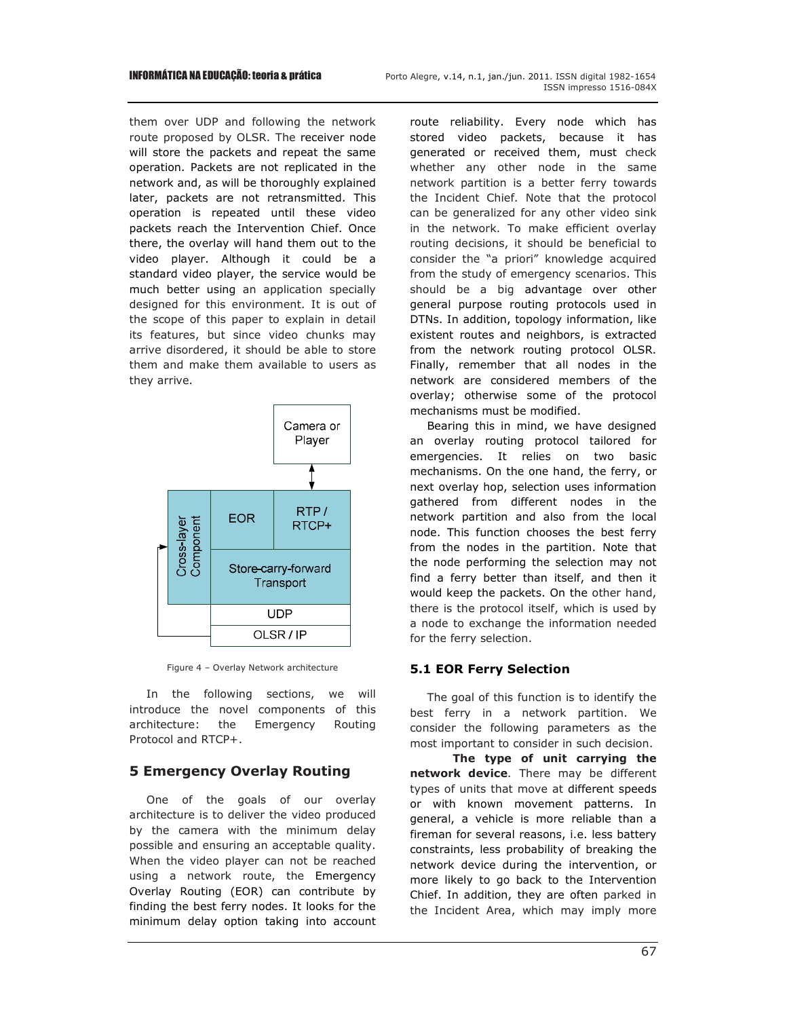them over UDP and following the network route proposed by OLSR. The receiver node will store the packets and repeat the same operation. Packets are not replicated in the network and, as will be thoroughly explained later, packets are not retransmitted. This operation is repeated until these video packets reach the Intervention Chief. Once there, the overlay will hand them out to the video player. Although it could be a standard video player, the service would be much better using an application specially designed for this environment. It is out of the scope of this paper to explain in detail its features, but since video chunks may arrive disordered, it should be able to store them and make them available to users as they arrive.



Figure 4 – Overlay Network architecture

In the following sections, we will introduce the novel components of this architecture: the Emergency Routing Protocol and RTCP+.

## **5 Emergency Overlay Routing**

One of the goals of our overlay architecture is to deliver the video produced by the camera with the minimum delay possible and ensuring an acceptable quality. When the video player can not be reached using a network route, the Emergency Overlay Routing (EOR) can contribute by finding the best ferry nodes. It looks for the minimum delay option taking into account route reliability. Every node which has stored video packets, because it has generated or received them, must check whether any other node in the same network partition is a better ferry towards the Incident Chief. Note that the protocol can be generalized for any other video sink in the network. To make efficient overlay routing decisions, it should be beneficial to consider the "a priori" knowledge acquired from the study of emergency scenarios. This should be a big advantage over other general purpose routing protocols used in DTNs. In addition, topology information, like existent routes and neighbors, is extracted from the network routing protocol OLSR. Finally, remember that all nodes in the network are considered members of the overlay; otherwise some of the protocol mechanisms must be modified.

Bearing this in mind, we have designed an overlay routing protocol tailored for emergencies. It relies on two basic mechanisms. On the one hand, the ferry, or next overlay hop, selection uses information gathered from different nodes in the network partition and also from the local node. This function chooses the best ferry from the nodes in the partition. Note that the node performing the selection may not find a ferry better than itself, and then it would keep the packets. On the other hand, there is the protocol itself, which is used by a node to exchange the information needed for the ferry selection.

#### **5.1 EOR Ferry Selection**

The goal of this function is to identify the best ferry in a network partition. We consider the following parameters as the most important to consider in such decision.

**The type of unit carrying the network device**. There may be different types of units that move at different speeds or with known movement patterns. In general, a vehicle is more reliable than a fireman for several reasons, i.e. less battery constraints, less probability of breaking the network device during the intervention, or more likely to go back to the Intervention Chief. In addition, they are often parked in the Incident Area, which may imply more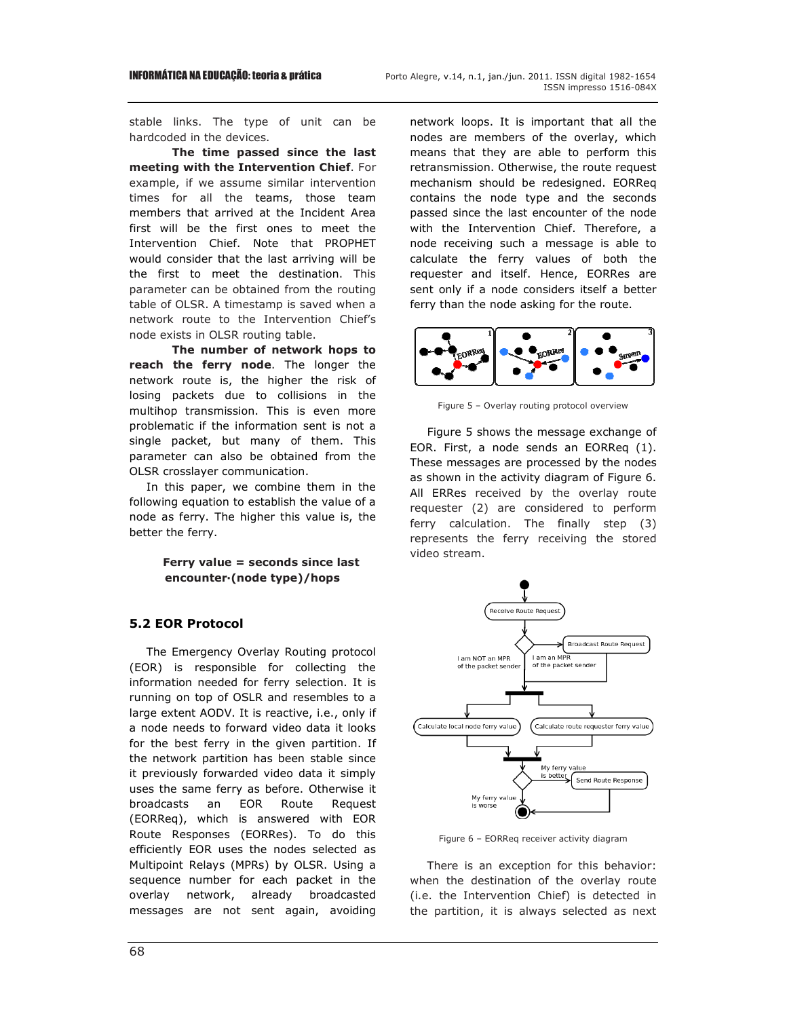stable links. The type of unit can be hardcoded in the devices.

**The time passed since the last meeting with the Intervention Chief**. For example, if we assume similar intervention times for all the teams, those team members that arrived at the Incident Area first will be the first ones to meet the Intervention Chief. Note that PROPHET would consider that the last arriving will be the first to meet the destination. This parameter can be obtained from the routing table of OLSR. A timestamp is saved when a network route to the Intervention Chief's node exists in OLSR routing table.

**The number of network hops to reach the ferry node**. The longer the network route is, the higher the risk of losing packets due to collisions in the multihop transmission. This is even more problematic if the information sent is not a single packet, but many of them. This parameter can also be obtained from the OLSR crosslayer communication.

In this paper, we combine them in the following equation to establish the value of a node as ferry. The higher this value is, the better the ferry.

#### **Ferry value = seconds since last encounter·(node type)/hops**

#### **5.2 EOR Protocol**

The Emergency Overlay Routing protocol (EOR) is responsible for collecting the information needed for ferry selection. It is running on top of OSLR and resembles to a large extent AODV. It is reactive, i.e., only if a node needs to forward video data it looks for the best ferry in the given partition. If the network partition has been stable since it previously forwarded video data it simply uses the same ferry as before. Otherwise it broadcasts an EOR Route Request (EORReq), which is answered with EOR Route Responses (EORRes). To do this efficiently EOR uses the nodes selected as Multipoint Relays (MPRs) by OLSR. Using a sequence number for each packet in the overlay network, already broadcasted messages are not sent again, avoiding network loops. It is important that all the nodes are members of the overlay, which means that they are able to perform this retransmission. Otherwise, the route request mechanism should be redesigned. EORReq contains the node type and the seconds passed since the last encounter of the node with the Intervention Chief. Therefore, a node receiving such a message is able to calculate the ferry values of both the requester and itself. Hence, EORRes are sent only if a node considers itself a better ferry than the node asking for the route.



Figure 5 – Overlay routing protocol overview

Figure 5 shows the message exchange of EOR. First, a node sends an EORReq (1). These messages are processed by the nodes as shown in the activity diagram of Figure 6. All ERRes received by the overlay route requester (2) are considered to perform ferry calculation. The finally step (3) represents the ferry receiving the stored video stream.



Figure 6 – EORReq receiver activity diagram

There is an exception for this behavior: when the destination of the overlay route (i.e. the Intervention Chief) is detected in the partition, it is always selected as next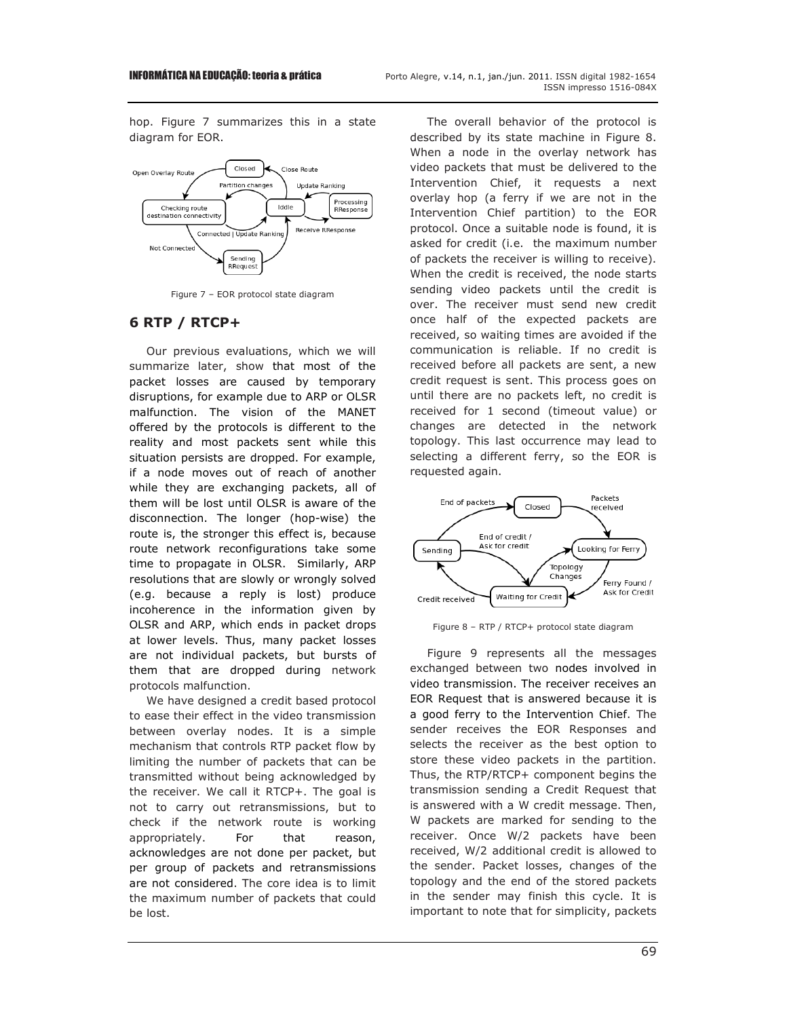hop. Figure 7 summarizes this in a state diagram for EOR.



Figure 7 – EOR protocol state diagram

## **6 RTP / RTCP+**

Our previous evaluations, which we will summarize later, show that most of the packet losses are caused by temporary disruptions, for example due to ARP or OLSR malfunction. The vision of the MANET offered by the protocols is different to the reality and most packets sent while this situation persists are dropped. For example, if a node moves out of reach of another while they are exchanging packets, all of them will be lost until OLSR is aware of the disconnection. The longer (hop-wise) the route is, the stronger this effect is, because route network reconfigurations take some time to propagate in OLSR. Similarly, ARP resolutions that are slowly or wrongly solved (e.g. because a reply is lost) produce incoherence in the information given by OLSR and ARP, which ends in packet drops at lower levels. Thus, many packet losses are not individual packets, but bursts of them that are dropped during network protocols malfunction.

We have designed a credit based protocol to ease their effect in the video transmission between overlay nodes. It is a simple mechanism that controls RTP packet flow by limiting the number of packets that can be transmitted without being acknowledged by the receiver. We call it RTCP+. The goal is not to carry out retransmissions, but to check if the network route is working appropriately. For that reason, acknowledges are not done per packet, but per group of packets and retransmissions are not considered. The core idea is to limit the maximum number of packets that could be lost.

The overall behavior of the protocol is described by its state machine in Figure 8. When a node in the overlay network has video packets that must be delivered to the Intervention Chief, it requests a next overlay hop (a ferry if we are not in the Intervention Chief partition) to the EOR protocol. Once a suitable node is found, it is asked for credit (i.e. the maximum number of packets the receiver is willing to receive). When the credit is received, the node starts sending video packets until the credit is over. The receiver must send new credit once half of the expected packets are received, so waiting times are avoided if the communication is reliable. If no credit is received before all packets are sent, a new credit request is sent. This process goes on until there are no packets left, no credit is received for 1 second (timeout value) or changes are detected in the network topology. This last occurrence may lead to selecting a different ferry, so the EOR is requested again.



Figure 8 – RTP / RTCP+ protocol state diagram

Figure 9 represents all the messages exchanged between two nodes involved in video transmission. The receiver receives an EOR Request that is answered because it is a good ferry to the Intervention Chief. The sender receives the EOR Responses and selects the receiver as the best option to store these video packets in the partition. Thus, the RTP/RTCP+ component begins the transmission sending a Credit Request that is answered with a W credit message. Then, W packets are marked for sending to the receiver. Once W/2 packets have been received, W/2 additional credit is allowed to the sender. Packet losses, changes of the topology and the end of the stored packets in the sender may finish this cycle. It is important to note that for simplicity, packets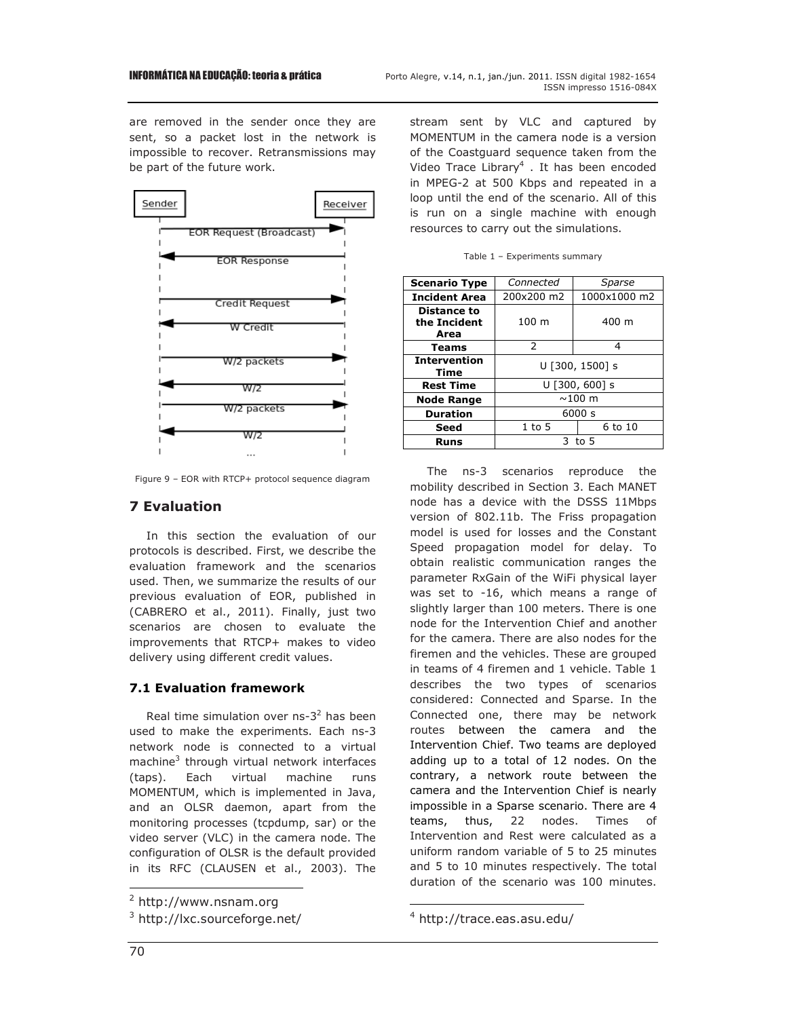are removed in the sender once they are sent, so a packet lost in the network is impossible to recover. Retransmissions may be part of the future work.



Figure 9 – EOR with RTCP+ protocol sequence diagram

# **7 Evaluation**

In this section the evaluation of our protocols is described. First, we describe the evaluation framework and the scenarios used. Then, we summarize the results of our previous evaluation of EOR, published in (CABRERO et al., 2011). Finally, just two scenarios are chosen to evaluate the improvements that RTCP+ makes to video delivery using different credit values.

## **7.1 Evaluation framework**

Real time simulation over  $ns-3^2$  has been used to make the experiments. Each ns-3 network node is connected to a virtual machine<sup>3</sup> through virtual network interfaces (taps). Each virtual machine runs MOMENTUM, which is implemented in Java, and an OLSR daemon, apart from the monitoring processes (tcpdump, sar) or the video server (VLC) in the camera node. The configuration of OLSR is the default provided in its RFC (CLAUSEN et al., 2003). The

stream sent by VLC and captured by MOMENTUM in the camera node is a version of the Coastguard sequence taken from the Video Trace Library<sup>4</sup>. It has been encoded in MPEG-2 at 500 Kbps and repeated in a loop until the end of the scenario. All of this is run on a single machine with enough resources to carry out the simulations.

| <b>Scenario Type</b>                       | Connected        | Sparse       |
|--------------------------------------------|------------------|--------------|
| <b>Incident Area</b>                       | 200x200 m2       | 1000x1000 m2 |
| <b>Distance to</b><br>the Incident<br>Area | 100 m            | 400 m        |
| <b>Teams</b>                               | 2                | 4            |
| <b>Intervention</b><br><b>Time</b>         | U [300, 1500] s  |              |
| <b>Rest Time</b>                           | $U$ [300, 600] s |              |
| <b>Node Range</b>                          | $\sim$ 100 m     |              |
| <b>Duration</b>                            | 6000 s           |              |
| Seed                                       | 1 to 5           | 6 to 10      |
| <b>Runs</b>                                | 3 to 5           |              |

Table 1 – Experiments summary

The ns-3 scenarios reproduce the mobility described in Section 3. Each MANET node has a device with the DSSS 11Mbps version of 802.11b. The Friss propagation model is used for losses and the Constant Speed propagation model for delay. To obtain realistic communication ranges the parameter RxGain of the WiFi physical layer was set to -16, which means a range of slightly larger than 100 meters. There is one node for the Intervention Chief and another for the camera. There are also nodes for the firemen and the vehicles. These are grouped in teams of 4 firemen and 1 vehicle. Table 1 describes the two types of scenarios considered: Connected and Sparse. In the Connected one, there may be network routes between the camera and the Intervention Chief. Two teams are deployed adding up to a total of 12 nodes. On the contrary, a network route between the camera and the Intervention Chief is nearly impossible in a Sparse scenario. There are 4 teams, thus, 22 nodes. Times of Intervention and Rest were calculated as a uniform random variable of 5 to 25 minutes and 5 to 10 minutes respectively. The total duration of the scenario was 100 minutes.

L

L

<sup>&</sup>lt;sup>2</sup> http://www.nsnam.org

<sup>&</sup>lt;sup>3</sup> http://lxc.sourceforge.net/

<sup>4</sup> http://trace.eas.asu.edu/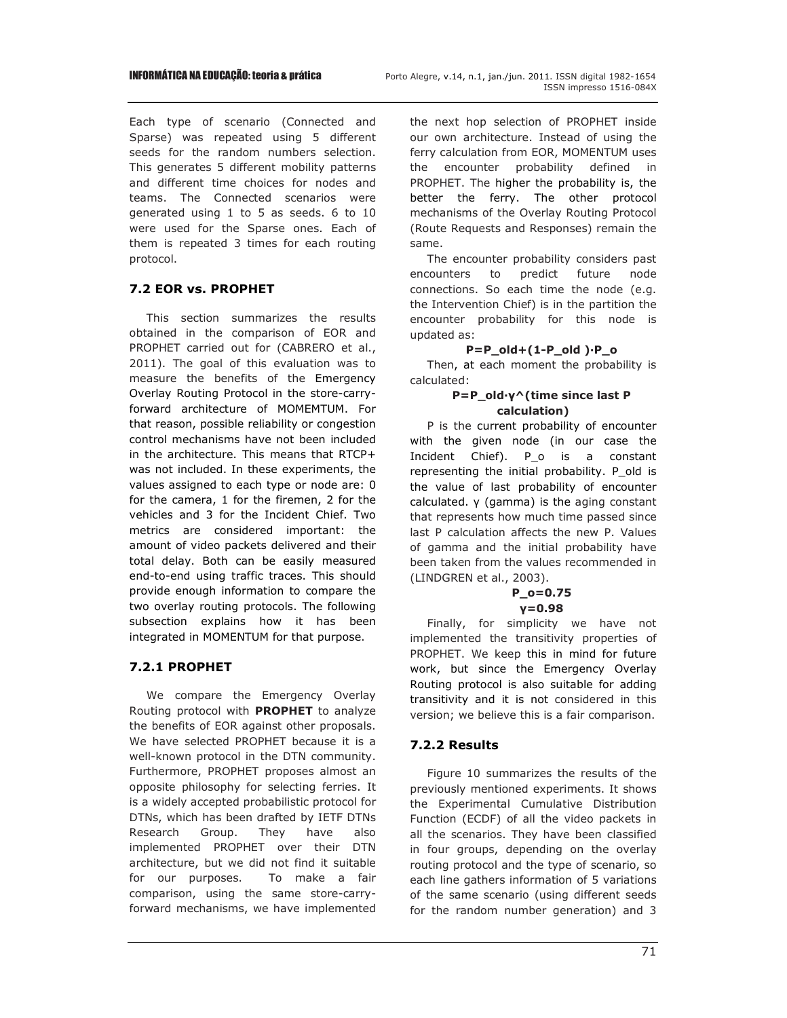Each type of scenario (Connected and Sparse) was repeated using 5 different seeds for the random numbers selection. This generates 5 different mobility patterns and different time choices for nodes and teams. The Connected scenarios were generated using 1 to 5 as seeds. 6 to 10 were used for the Sparse ones. Each of them is repeated 3 times for each routing protocol.

# **7.2 EOR vs. PROPHET**

This section summarizes the results obtained in the comparison of EOR and PROPHET carried out for (CABRERO et al., 2011). The goal of this evaluation was to measure the benefits of the Emergency Overlay Routing Protocol in the store-carryforward architecture of MOMEMTUM. For that reason, possible reliability or congestion control mechanisms have not been included in the architecture. This means that RTCP+ was not included. In these experiments, the values assigned to each type or node are: 0 for the camera, 1 for the firemen, 2 for the vehicles and 3 for the Incident Chief. Two metrics are considered important: the amount of video packets delivered and their total delay. Both can be easily measured end-to-end using traffic traces. This should provide enough information to compare the two overlay routing protocols. The following subsection explains how it has been integrated in MOMENTUM for that purpose.

# **7.2.1 PROPHET**

We compare the Emergency Overlay Routing protocol with **PROPHET** to analyze the benefits of EOR against other proposals. We have selected PROPHET because it is a well-known protocol in the DTN community. Furthermore, PROPHET proposes almost an opposite philosophy for selecting ferries. It is a widely accepted probabilistic protocol for DTNs, which has been drafted by IETF DTNs Research Group. They have also implemented PROPHET over their DTN architecture, but we did not find it suitable for our purposes. To make a fair comparison, using the same store-carryforward mechanisms, we have implemented the next hop selection of PROPHET inside our own architecture. Instead of using the ferry calculation from EOR, MOMENTUM uses the encounter probability defined in PROPHET. The higher the probability is, the better the ferry. The other protocol mechanisms of the Overlay Routing Protocol (Route Requests and Responses) remain the same.

The encounter probability considers past encounters to predict future node connections. So each time the node (e.g. the Intervention Chief) is in the partition the encounter probability for this node is updated as:

## **P=P\_old+(1-P\_old )·P\_o**

Then, at each moment the probability is calculated:

#### **P=P\_old·γ^(time since last P calculation)**

P is the current probability of encounter with the given node (in our case the Incident Chief). P\_o is a constant representing the initial probability. P\_old is the value of last probability of encounter calculated. γ (gamma) is the aging constant that represents how much time passed since last P calculation affects the new P. Values of gamma and the initial probability have been taken from the values recommended in (LINDGREN et al., 2003).

#### **P\_o=0.75 γ=0.98**

Finally, for simplicity we have not implemented the transitivity properties of PROPHET. We keep this in mind for future work, but since the Emergency Overlay Routing protocol is also suitable for adding transitivity and it is not considered in this version; we believe this is a fair comparison.

# **7.2.2 Results**

Figure 10 summarizes the results of the previously mentioned experiments. It shows the Experimental Cumulative Distribution Function (ECDF) of all the video packets in all the scenarios. They have been classified in four groups, depending on the overlay routing protocol and the type of scenario, so each line gathers information of 5 variations of the same scenario (using different seeds for the random number generation) and 3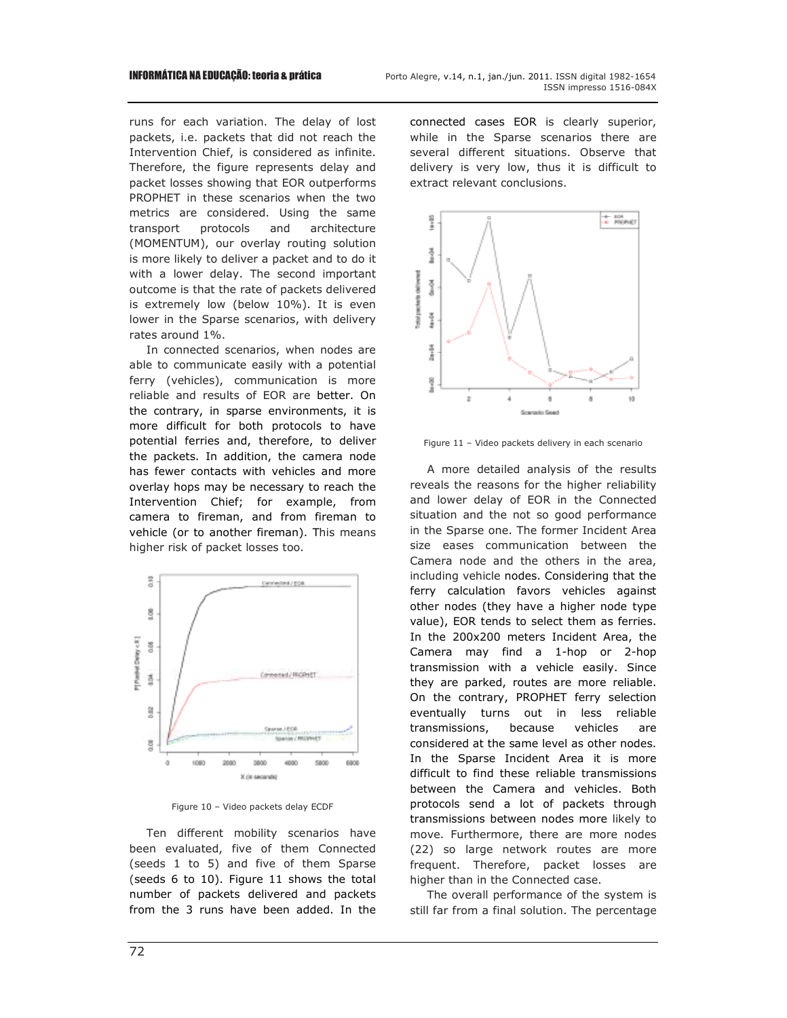runs for each variation. The delay of lost packets, i.e. packets that did not reach the Intervention Chief, is considered as infinite. Therefore, the figure represents delay and packet losses showing that EOR outperforms PROPHET in these scenarios when the two metrics are considered. Using the same transport protocols and architecture (MOMENTUM), our overlay routing solution is more likely to deliver a packet and to do it with a lower delay. The second important outcome is that the rate of packets delivered is extremely low (below 10%). It is even lower in the Sparse scenarios, with delivery rates around 1%.

In connected scenarios, when nodes are able to communicate easily with a potential ferry (vehicles), communication is more reliable and results of EOR are better. On the contrary, in sparse environments, it is more difficult for both protocols to have potential ferries and, therefore, to deliver the packets. In addition, the camera node has fewer contacts with vehicles and more overlay hops may be necessary to reach the Intervention Chief; for example, from camera to fireman, and from fireman to vehicle (or to another fireman). This means higher risk of packet losses too.



Figure 10 – Video packets delay ECDF

Ten different mobility scenarios have been evaluated, five of them Connected (seeds 1 to 5) and five of them Sparse (seeds 6 to 10). Figure 11 shows the total number of packets delivered and packets from the 3 runs have been added. In the connected cases EOR is clearly superior, while in the Sparse scenarios there are several different situations. Observe that delivery is very low, thus it is difficult to extract relevant conclusions.



Figure 11 – Video packets delivery in each scenario

A more detailed analysis of the results reveals the reasons for the higher reliability and lower delay of EOR in the Connected situation and the not so good performance in the Sparse one. The former Incident Area size eases communication between the Camera node and the others in the area, including vehicle nodes. Considering that the ferry calculation favors vehicles against other nodes (they have a higher node type value), EOR tends to select them as ferries. In the 200x200 meters Incident Area, the Camera may find a 1-hop or 2-hop transmission with a vehicle easily. Since they are parked, routes are more reliable. On the contrary, PROPHET ferry selection eventually turns out in less reliable transmissions, because vehicles are considered at the same level as other nodes. In the Sparse Incident Area it is more difficult to find these reliable transmissions between the Camera and vehicles. Both protocols send a lot of packets through transmissions between nodes more likely to move. Furthermore, there are more nodes (22) so large network routes are more frequent. Therefore, packet losses are higher than in the Connected case.

The overall performance of the system is still far from a final solution. The percentage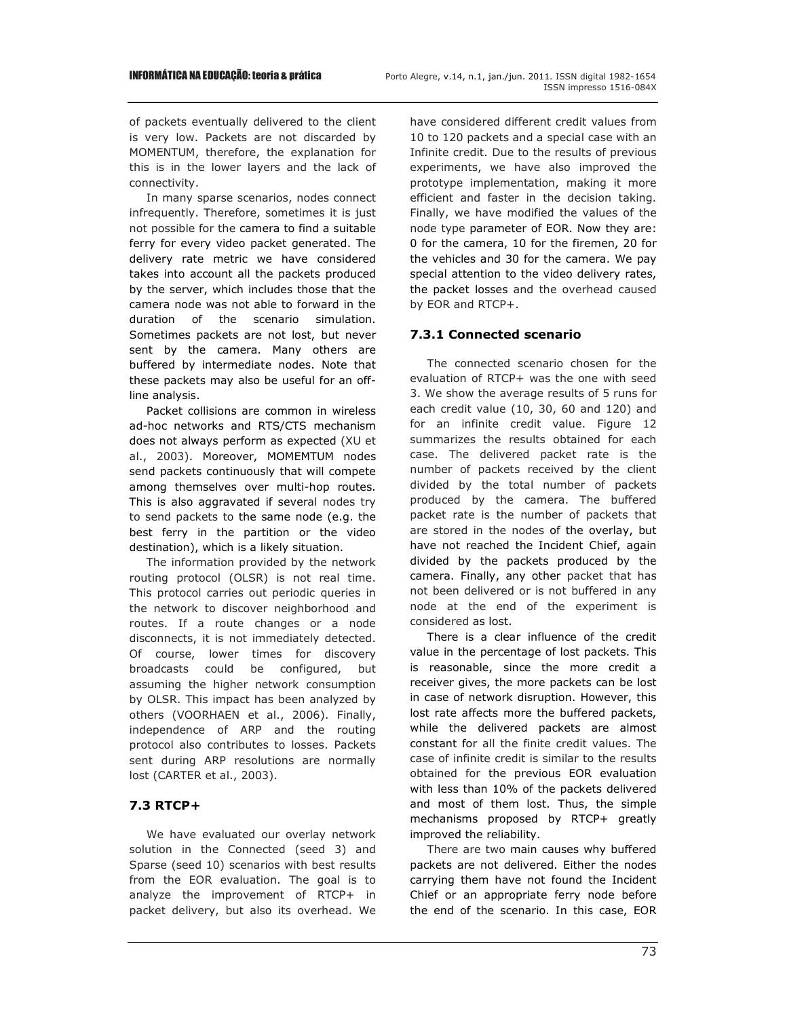of packets eventually delivered to the client is very low. Packets are not discarded by MOMENTUM, therefore, the explanation for this is in the lower layers and the lack of connectivity.

In many sparse scenarios, nodes connect infrequently. Therefore, sometimes it is just not possible for the camera to find a suitable ferry for every video packet generated. The delivery rate metric we have considered takes into account all the packets produced by the server, which includes those that the camera node was not able to forward in the duration of the scenario simulation. Sometimes packets are not lost, but never sent by the camera. Many others are buffered by intermediate nodes. Note that these packets may also be useful for an offline analysis.

Packet collisions are common in wireless ad-hoc networks and RTS/CTS mechanism does not always perform as expected (XU et al., 2003). Moreover, MOMEMTUM nodes send packets continuously that will compete among themselves over multi-hop routes. This is also aggravated if several nodes try to send packets to the same node (e.g. the best ferry in the partition or the video destination), which is a likely situation.

The information provided by the network routing protocol (OLSR) is not real time. This protocol carries out periodic queries in the network to discover neighborhood and routes. If a route changes or a node disconnects, it is not immediately detected. Of course, lower times for discovery broadcasts could be configured, but assuming the higher network consumption by OLSR. This impact has been analyzed by others (VOORHAEN et al., 2006). Finally, independence of ARP and the routing protocol also contributes to losses. Packets sent during ARP resolutions are normally lost (CARTER et al., 2003).

# **7.3 RTCP+**

We have evaluated our overlay network solution in the Connected (seed 3) and Sparse (seed 10) scenarios with best results from the EOR evaluation. The goal is to analyze the improvement of RTCP+ in packet delivery, but also its overhead. We have considered different credit values from 10 to 120 packets and a special case with an Infinite credit. Due to the results of previous experiments, we have also improved the prototype implementation, making it more efficient and faster in the decision taking. Finally, we have modified the values of the node type parameter of EOR. Now they are: 0 for the camera, 10 for the firemen, 20 for the vehicles and 30 for the camera. We pay special attention to the video delivery rates, the packet losses and the overhead caused by EOR and RTCP+.

# **7.3.1 Connected scenario**

The connected scenario chosen for the evaluation of RTCP+ was the one with seed 3. We show the average results of 5 runs for each credit value (10, 30, 60 and 120) and for an infinite credit value. Figure 12 summarizes the results obtained for each case. The delivered packet rate is the number of packets received by the client divided by the total number of packets produced by the camera. The buffered packet rate is the number of packets that are stored in the nodes of the overlay, but have not reached the Incident Chief, again divided by the packets produced by the camera. Finally, any other packet that has not been delivered or is not buffered in any node at the end of the experiment is considered as lost.

There is a clear influence of the credit value in the percentage of lost packets. This is reasonable, since the more credit a receiver gives, the more packets can be lost in case of network disruption. However, this lost rate affects more the buffered packets, while the delivered packets are almost constant for all the finite credit values. The case of infinite credit is similar to the results obtained for the previous EOR evaluation with less than 10% of the packets delivered and most of them lost. Thus, the simple mechanisms proposed by RTCP+ greatly improved the reliability.

There are two main causes why buffered packets are not delivered. Either the nodes carrying them have not found the Incident Chief or an appropriate ferry node before the end of the scenario. In this case, EOR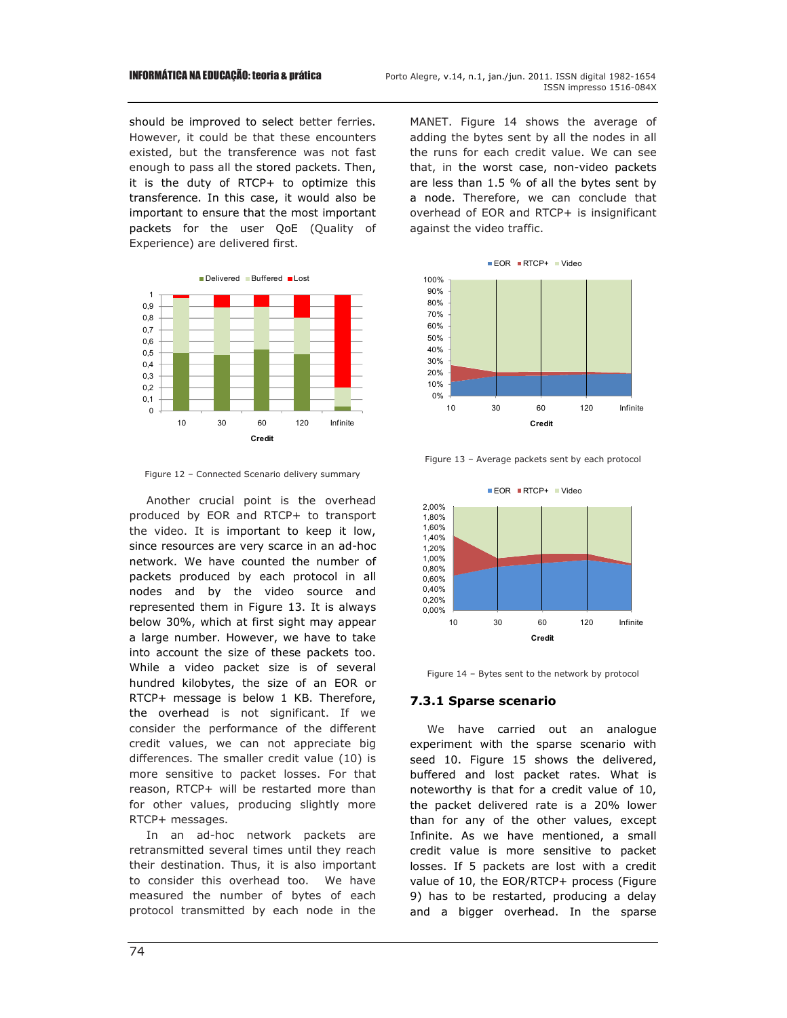should be improved to select better ferries. However, it could be that these encounters existed, but the transference was not fast enough to pass all the stored packets. Then, it is the duty of RTCP+ to optimize this transference. In this case, it would also be important to ensure that the most important packets for the user QoE (Quality of Experience) are delivered first.



Figure 12 – Connected Scenario delivery summary

Another crucial point is the overhead produced by EOR and RTCP+ to transport the video. It is important to keep it low, since resources are very scarce in an ad-hoc network. We have counted the number of packets produced by each protocol in all nodes and by the video source and represented them in Figure 13. It is always below 30%, which at first sight may appear a large number. However, we have to take into account the size of these packets too. While a video packet size is of several hundred kilobytes, the size of an EOR or RTCP+ message is below 1 KB. Therefore, the overhead is not significant. If we consider the performance of the different credit values, we can not appreciate big differences. The smaller credit value (10) is more sensitive to packet losses. For that reason, RTCP+ will be restarted more than for other values, producing slightly more RTCP+ messages.

In an ad-hoc network packets are retransmitted several times until they reach their destination. Thus, it is also important to consider this overhead too. We have measured the number of bytes of each protocol transmitted by each node in the MANET. Figure 14 shows the average of adding the bytes sent by all the nodes in all the runs for each credit value. We can see that, in the worst case, non-video packets are less than 1.5 % of all the bytes sent by a node. Therefore, we can conclude that overhead of EOR and RTCP+ is insignificant against the video traffic.



Figure 13 – Average packets sent by each protocol



Figure 14 – Bytes sent to the network by protocol

#### **7.3.1 Sparse scenario**

We have carried out an analogue experiment with the sparse scenario with seed 10. Figure 15 shows the delivered, buffered and lost packet rates. What is noteworthy is that for a credit value of 10, the packet delivered rate is a 20% lower than for any of the other values, except Infinite. As we have mentioned, a small credit value is more sensitive to packet losses. If 5 packets are lost with a credit value of 10, the EOR/RTCP+ process (Figure 9) has to be restarted, producing a delay and a bigger overhead. In the sparse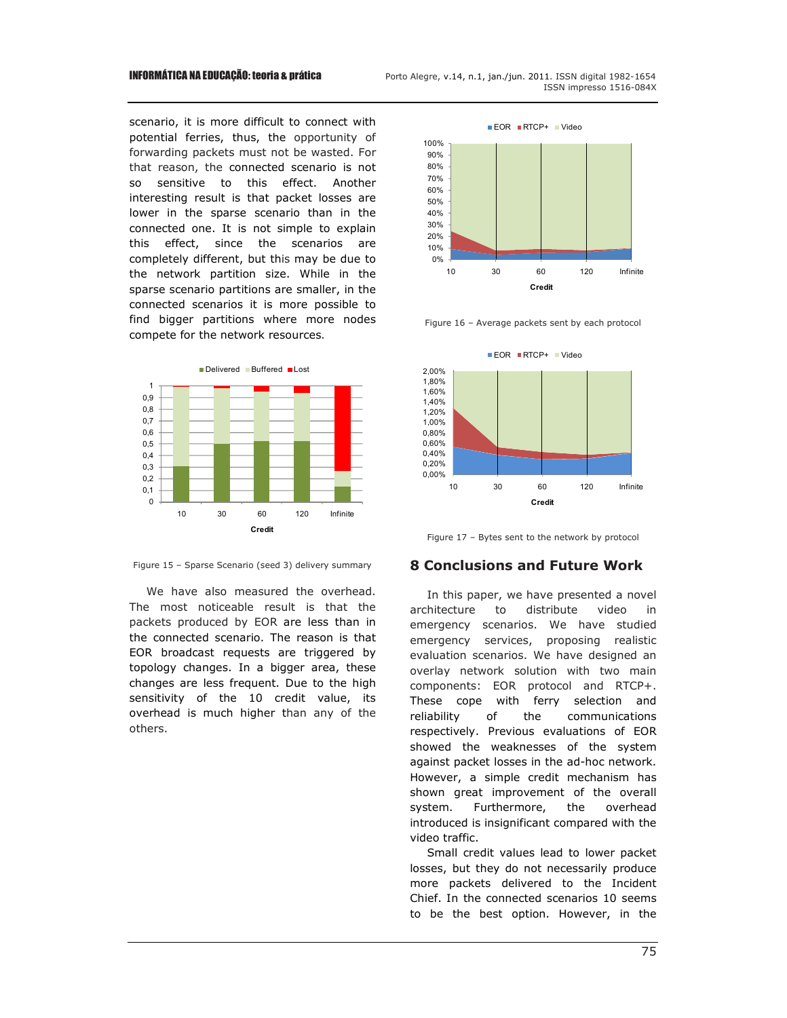scenario, it is more difficult to connect with potential ferries, thus, the opportunity of forwarding packets must not be wasted. For that reason, the connected scenario is not so sensitive to this effect. Another interesting result is that packet losses are lower in the sparse scenario than in the connected one. It is not simple to explain this effect, since the scenarios are completely different, but this may be due to the network partition size. While in the sparse scenario partitions are smaller, in the connected scenarios it is more possible to find bigger partitions where more nodes compete for the network resources.





We have also measured the overhead. The most noticeable result is that the packets produced by EOR are less than in the connected scenario. The reason is that EOR broadcast requests are triggered by topology changes. In a bigger area, these changes are less frequent. Due to the high sensitivity of the 10 credit value, its overhead is much higher than any of the others.





Figure 16 – Average packets sent by each protocol

0% 10% 20%



Figure 17 – Bytes sent to the network by protocol

#### **8 Conclusions and Future Work**

In this paper, we have presented a novel architecture to distribute video in emergency scenarios. We have studied emergency services, proposing realistic evaluation scenarios. We have designed an overlay network solution with two main components: EOR protocol and RTCP+. These cope with ferry selection and reliability of the communications respectively. Previous evaluations of EOR showed the weaknesses of the system against packet losses in the ad-hoc network. However, a simple credit mechanism has shown great improvement of the overall system. Furthermore, the overhead introduced is insignificant compared with the video traffic.

Small credit values lead to lower packet losses, but they do not necessarily produce more packets delivered to the Incident Chief. In the connected scenarios 10 seems to be the best option. However, in the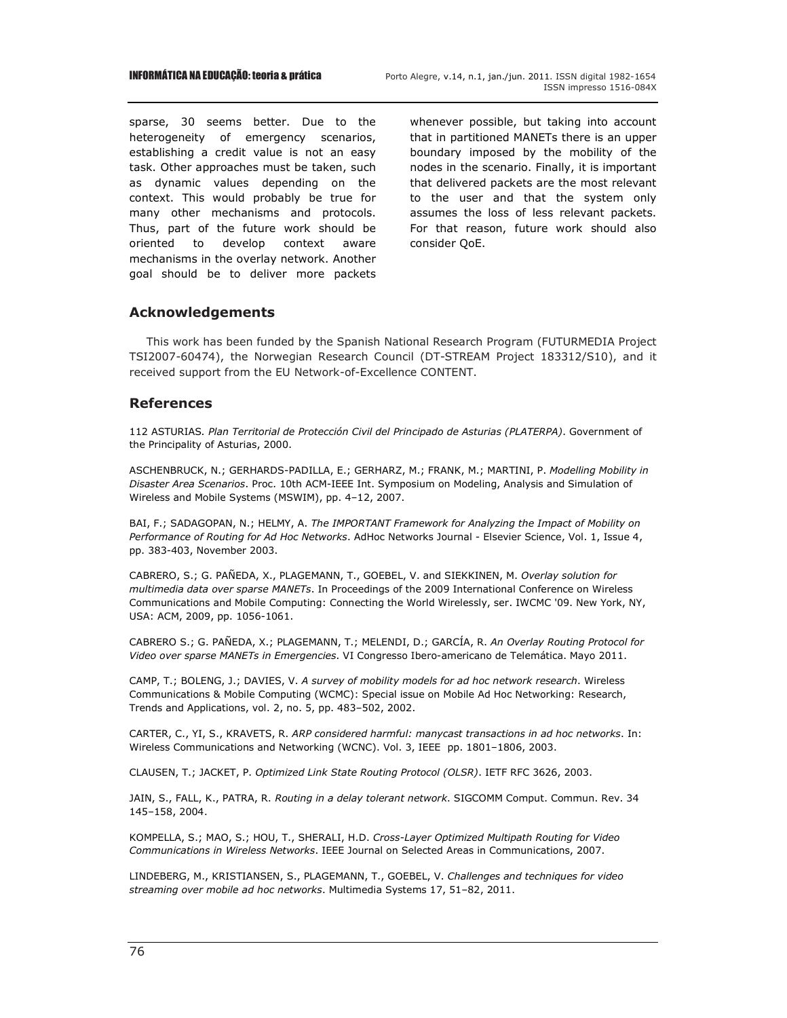sparse, 30 seems better. Due to the heterogeneity of emergency scenarios, establishing a credit value is not an easy task. Other approaches must be taken, such as dynamic values depending on the context. This would probably be true for many other mechanisms and protocols. Thus, part of the future work should be oriented to develop context aware mechanisms in the overlay network. Another goal should be to deliver more packets whenever possible, but taking into account that in partitioned MANETs there is an upper boundary imposed by the mobility of the nodes in the scenario. Finally, it is important that delivered packets are the most relevant to the user and that the system only assumes the loss of less relevant packets. For that reason, future work should also consider QoE.

## **Acknowledgements**

This work has been funded by the Spanish National Research Program (FUTURMEDIA Project TSI2007-60474), the Norwegian Research Council (DT-STREAM Project 183312/S10), and it received support from the EU Network-of-Excellence CONTENT.

## **References**

112 ASTURIAS*. Plan Territorial de Protección Civil del Principado de Asturias (PLATERPA)*. Government of the Principality of Asturias, 2000.

ASCHENBRUCK, N.; GERHARDS-PADILLA, E.; GERHARZ, M.; FRANK, M.; MARTINI, P. *Modelling Mobility in Disaster Area Scenarios*. Proc. 10th ACM-IEEE Int. Symposium on Modeling, Analysis and Simulation of Wireless and Mobile Systems (MSWIM), pp. 4–12, 2007.

BAI, F.; SADAGOPAN, N.; HELMY, A. *The IMPORTANT Framework for Analyzing the Impact of Mobility on Performance of Routing for Ad Hoc Networks*. AdHoc Networks Journal - Elsevier Science, Vol. 1, Issue 4, pp. 383-403, November 2003.

CABRERO, S.; G. PAÑEDA, X., PLAGEMANN, T., GOEBEL, V. and SIEKKINEN, M. *Overlay solution for multimedia data over sparse MANETs*. In Proceedings of the 2009 International Conference on Wireless Communications and Mobile Computing: Connecting the World Wirelessly, ser. IWCMC '09. New York, NY, USA: ACM, 2009, pp. 1056-1061.

CABRERO S.; G. PAÑEDA, X.; PLAGEMANN, T.; MELENDI, D.; GARCÍA, R. *An Overlay Routing Protocol for Video over sparse MANETs in Emergencies*. VI Congresso Ibero-americano de Telemática. Mayo 2011.

CAMP, T.; BOLENG, J.; DAVIES, V. *A survey of mobility models for ad hoc network research*. Wireless Communications & Mobile Computing (WCMC): Special issue on Mobile Ad Hoc Networking: Research, Trends and Applications, vol. 2, no. 5, pp. 483–502, 2002.

CARTER, C., YI, S., KRAVETS, R. *ARP considered harmful: manycast transactions in ad hoc networks*. In: Wireless Communications and Networking (WCNC). Vol. 3, IEEE pp. 1801–1806, 2003.

CLAUSEN, T.; JACKET, P. *Optimized Link State Routing Protocol (OLSR)*. IETF RFC 3626, 2003.

JAIN, S., FALL, K., PATRA, R. *Routing in a delay tolerant network*. SIGCOMM Comput. Commun. Rev. 34 145–158, 2004.

KOMPELLA, S.; MAO, S.; HOU, T., SHERALI, H.D. *Cross-Layer Optimized Multipath Routing for Video Communications in Wireless Networks*. IEEE Journal on Selected Areas in Communications, 2007.

LINDEBERG, M., KRISTIANSEN, S., PLAGEMANN, T., GOEBEL, V. *Challenges and techniques for video streaming over mobile ad hoc networks*. Multimedia Systems 17, 51–82, 2011.